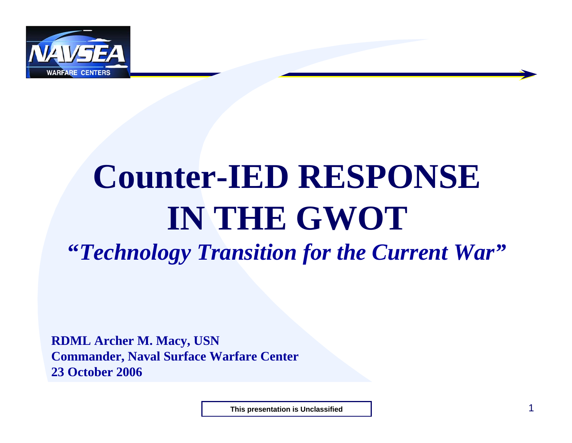

# **Counter-IED RESPONSE IN THE GWOT "***Technology Transition for the Current War"*

**RDML Archer M. Macy, USN Commander, Naval Surface Warfare Center 23 October 2006**

**This presentation is Unclassified**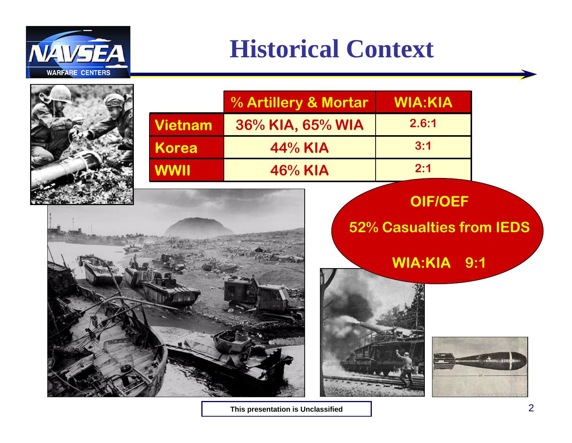

### **Historical Context**



|                | % Artillery & Mortar | <b>WIA:KIA</b> |
|----------------|----------------------|----------------|
| <b>Vietnam</b> | 36% KIA, 65% WIA     | 2.6:1          |
| <b>Korea</b>   | 44% KIA              | 3:1            |
| <b>WWII</b>    | 46% KIA              | 2:1            |

**OIF/OEF** 

#### **52% Casualties from IEDS**

**WIA:KIA 9:1**





**This presentation is Unclassified**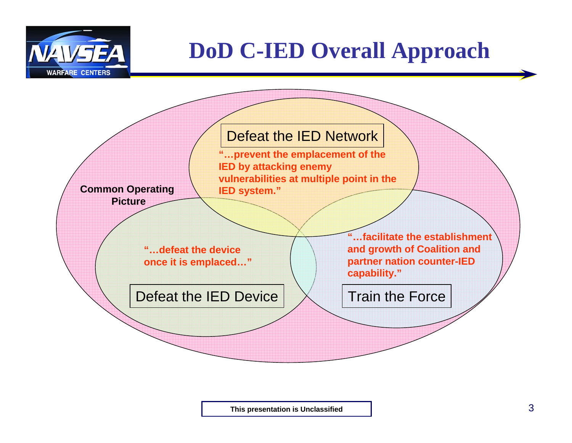

#### **DoD C-IED Overall Approach**



**This presentation is Unclassified**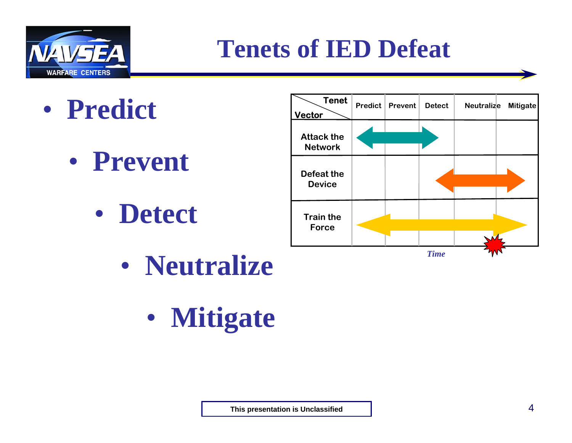

### **Tenets of IED Defeat**

- $\bullet$  **Predict**
	- $\bullet$  **Prevent**
		- $\bullet$ **Detect**



- $\bullet$  **Neutralize**
	- $\bullet$ **Mitigate**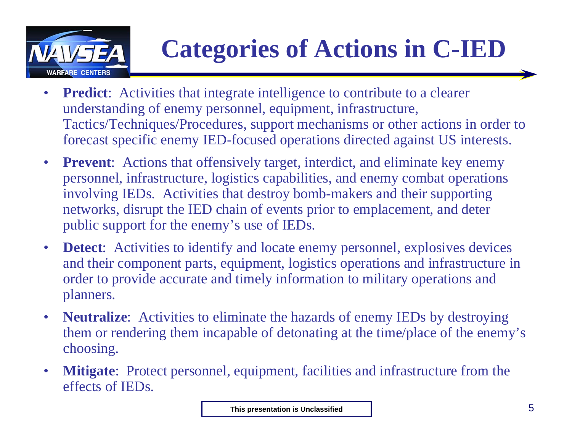

## **Categories of Actions in C-IED**

- $\bullet$ **Predict**: Activities that integrate intelligence to contribute to a clearer understanding of enemy personnel, equipment, infrastructure, Tactics/Techniques/Procedures, support mechanisms or other actions in order to forecast specific enemy IED-focused operations directed against US interests.
- $\bullet$ **Prevent:** Actions that offensively target, interdict, and eliminate key enemy personnel, infrastructure, logistics capabilities, and enemy combat operations involving IEDs. Activities that destroy bomb-makers and their supporting networks, disrupt the IED chain of events prior to emplacement, and deter public support for the enemy's use of IEDs.
- $\bullet$ **Detect:** Activities to identify and locate enemy personnel, explosives devices and their component parts, equipment, logistics operations and infrastructure in order to provide accurate and timely information to military operations and planners.
- $\bullet$  **Neutralize**: Activities to eliminate the hazards of enemy IEDs by destroying them or rendering them incapable of detonating at the time/place of the enemy's choosing.
- $\bullet$  **Mitigate**: Protect personnel, equipment, facilities and infrastructure from the effects of IEDs.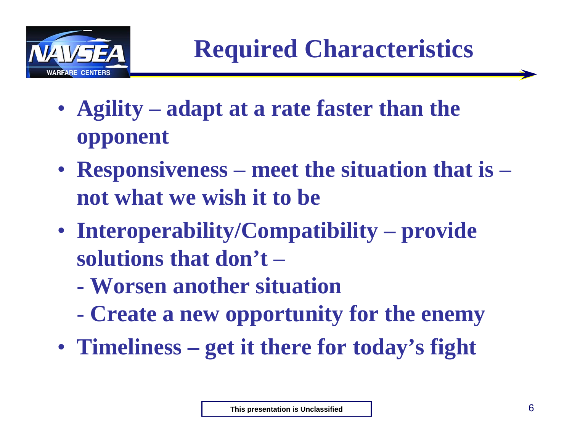

- **Agility – adapt at a rate faster than the opponent**
- **Responsiveness – meet the situation that is – not what we wish it to be**
- **Interoperability/Compatibility – provide solutions that don't –**
	- **- Worsen another situation**
	- **- Create a new opportunity for the enemy**
- **Timeliness – get it there for today's fight**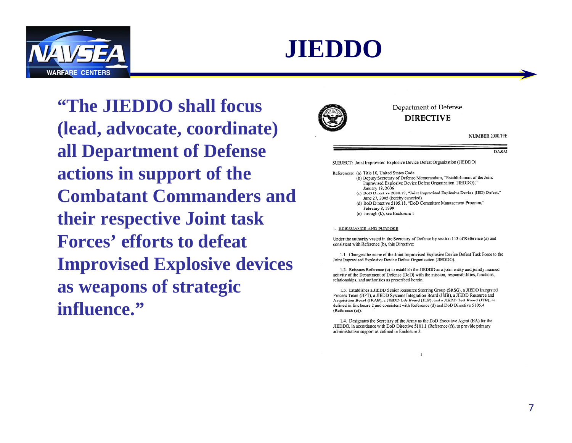



**"The JIEDDO shall focus (lead, advocate, coordinate) all Department of Defense actions in support of the Combatant Commanders and their respective Joint task Forces' efforts to defeat Improvised Explosive devices as weapons of strategic influence."**



Department of Defense **DIRECTIVE** 

**NUMBER 2000.19E** 

#### DA&M

SUBJECT: Joint Improvised Explosive Device Defeat Organization (JIEDDO)

References: (a) Title 10, United States Code

- (b) Deputy Secretary of Defense Memorandum, "Establishment of the Joint Improvised Explosive Device Defeat Organization (JIEDDO)," January 18, 2006
	- (c) DoD Directive 2000.19, "Joint Improvised Explosive Device (IED) Defeat," June 27, 2005 (hereby canceled)
	- (d) DoD Directive 5105.18, "DoD Committee Management Program," February 8, 1999
	- (e) through (k), see Enclosure 1

#### 1. REISSUANCE AND PURPOSE

Under the authority vested in the Secretary of Defense by section 113 of Reference (a) and consistent with Reference (b), this Directive:

1.1. Changes the name of the Joint Improvised Explosive Device Defeat Task Force to the Joint Improvised Explosive Device Defeat Organization (JIEDDO).

1.2. Reissues Reference (c) to establish the JIEDDO as a joint entity and jointly manned activity of the Department of Defense (DoD) with the mission, responsibilities, functions, relationships, and authorities as prescribed herein.

1.3. Establishes a JIEDD Senior Resource Steering Group (SRSG), a JIEDD Integrated Process Team (JIPT), a JIEDD Systems Integration Board (JSIB), a JIEDD Resource and Acquisition Board (JRAB), a JIEDD Lab Board (JLB), and a JIEDD Test Board (JTB), as defined in Enclosure 2 and consistent with Reference (d) and DoD Directive 5105.4 (Reference (e)).

1.4. Designates the Secretary of the Army as the DoD Executive Agent (EA) for the JIEDDO, in accordance with DoD Directive 5101.1 (Reference (f)), to provide primary administrative support as defined in Enclosure 3.

 $\mathbf{1}$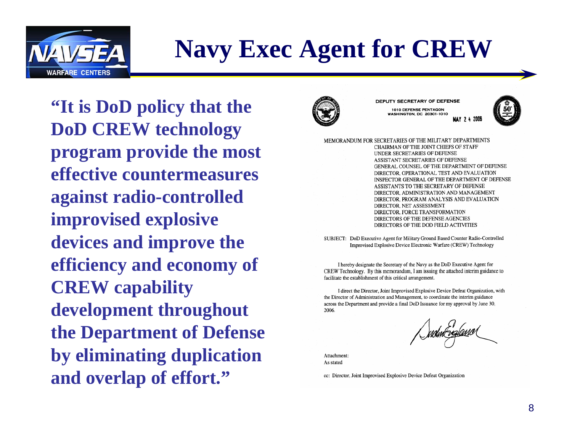

### **Navy Exec Agent for CREW**

**"It is DoD policy that the DoD CREW technology program provide the most effective countermeasures against radio-controlled improvised explosive devices and improve the efficiency and economy of CREW capability development throughout the Department of Defense by eliminating duplication and overlap of effort."**



DEPUTY SECRETARY OF DEFENSE 1010 DEFENSE PENTAGON **WASHINGTON, DC 20301-1010 MAY 24** 



MEMORANDUM FOR SECRETARIES OF THE MILITARY DEPARTMENTS CHAIRMAN OF THE JOINT CHIEFS OF STAFF UNDER SECRETARIES OF DEFENSE ASSISTANT SECRETARIES OF DEFENSE GENERAL COUNSEL OF THE DEPARTMENT OF DEFENSE DIRECTOR, OPERATIONAL TEST AND EVALUATION INSPECTOR GENERAL OF THE DEPARTMENT OF DEFENSE ASSISTANTS TO THE SECRETARY OF DEFENSE DIRECTOR, ADMINISTRATION AND MANAGEMENT DIRECTOR, PROGRAM ANALYSIS AND EVALUATION DIRECTOR, NET ASSESSMENT DIRECTOR, FORCE TRANSFORMATION DIRECTORS OF THE DEFENSE AGENCIES DIRECTORS OF THE DOD FIELD ACTIVITIES

SUBJECT: DoD Executive Agent for Military Ground Based Counter Radio-Controlled Improvised Explosive Device Electronic Warfare (CREW) Technology

I hereby designate the Secretary of the Navy as the DoD Executive Agent for CREW Technology. By this memorandum, I am issuing the attached interim guidance to facilitate the establishment of this critical arrangement.

I direct the Director, Joint Improvised Explosive Device Defeat Organization, with the Director of Administration and Management, to coordinate the interim guidance across the Department and provide a final DoD Issuance for my approval by June 30, 2006.

Attachment: As stated

cc: Director, Joint Improvised Explosive Device Defeat Organization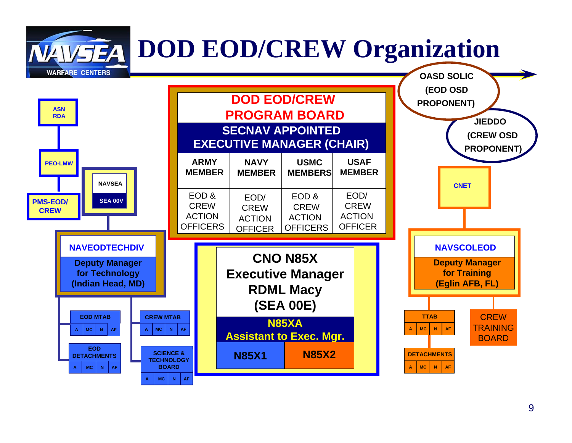**DOD EOD/CREW Organization**